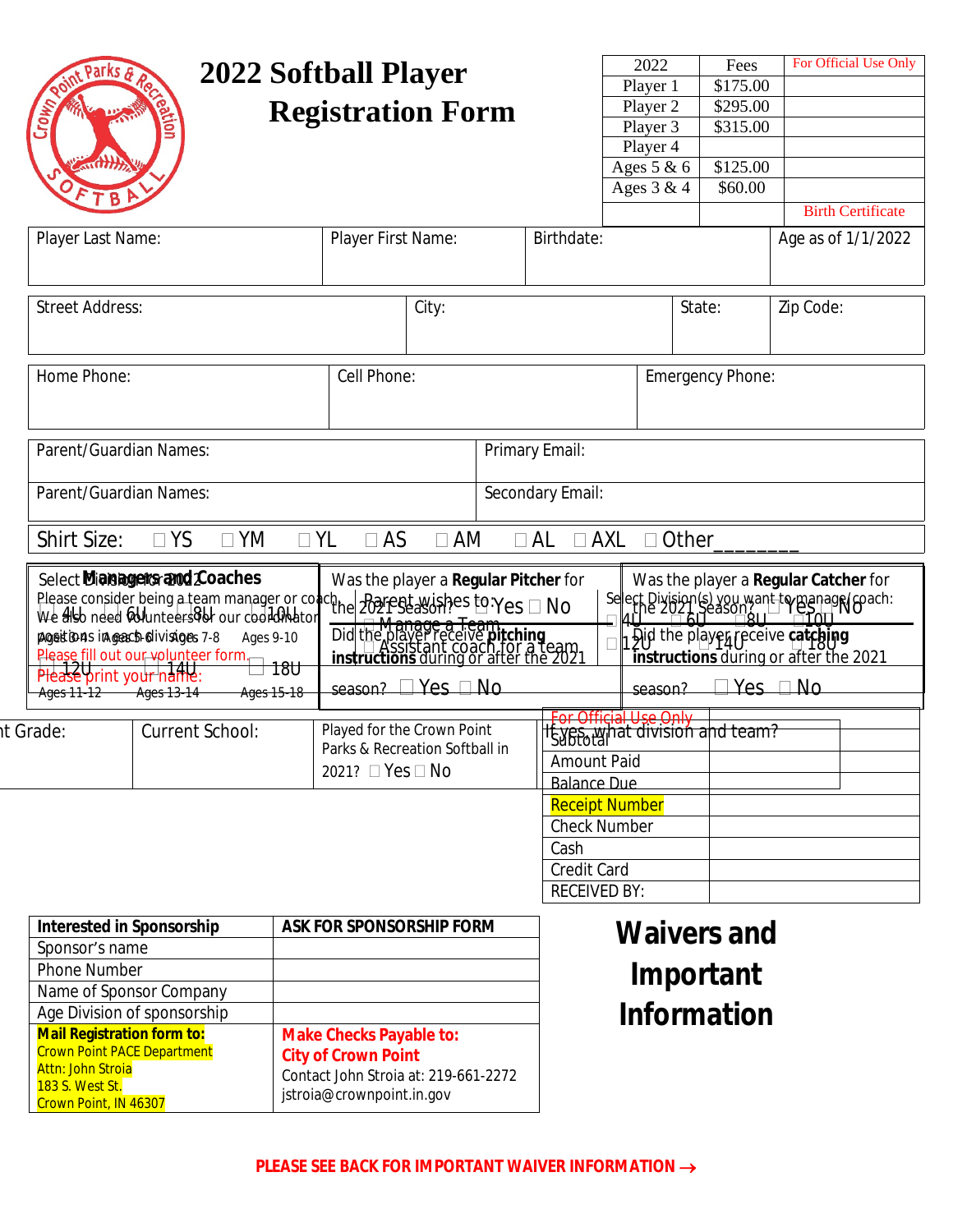|                                                                                                                                                                                                                                                                                                                              |                        |                          |                                                                                                                                             |                                                              |                    |                                            | 2022                                                                                                                                                                                     |                                                          | Fees     |                    | For Official Use Only    |  |
|------------------------------------------------------------------------------------------------------------------------------------------------------------------------------------------------------------------------------------------------------------------------------------------------------------------------------|------------------------|--------------------------|---------------------------------------------------------------------------------------------------------------------------------------------|--------------------------------------------------------------|--------------------|--------------------------------------------|------------------------------------------------------------------------------------------------------------------------------------------------------------------------------------------|----------------------------------------------------------|----------|--------------------|--------------------------|--|
| 2022 Softball Player                                                                                                                                                                                                                                                                                                         |                        |                          |                                                                                                                                             |                                                              |                    |                                            | Player 1                                                                                                                                                                                 |                                                          | \$175.00 |                    |                          |  |
| <b>Crown</b>                                                                                                                                                                                                                                                                                                                 |                        | <b>Registration Form</b> |                                                                                                                                             |                                                              | Player 2           |                                            | \$295.00                                                                                                                                                                                 |                                                          |          |                    |                          |  |
|                                                                                                                                                                                                                                                                                                                              |                        |                          |                                                                                                                                             |                                                              |                    |                                            | Player 3                                                                                                                                                                                 |                                                          | \$315.00 |                    |                          |  |
|                                                                                                                                                                                                                                                                                                                              |                        |                          |                                                                                                                                             |                                                              |                    |                                            | Player 4                                                                                                                                                                                 |                                                          |          |                    |                          |  |
| $\pi$ <b>With</b>                                                                                                                                                                                                                                                                                                            |                        |                          |                                                                                                                                             |                                                              |                    |                                            | Ages 5 & 6                                                                                                                                                                               |                                                          | \$125.00 |                    |                          |  |
|                                                                                                                                                                                                                                                                                                                              |                        |                          |                                                                                                                                             |                                                              |                    |                                            | Ages $3 & 4$                                                                                                                                                                             |                                                          | \$60.00  |                    |                          |  |
|                                                                                                                                                                                                                                                                                                                              |                        |                          |                                                                                                                                             |                                                              |                    |                                            |                                                                                                                                                                                          |                                                          |          |                    | <b>Birth Certificate</b> |  |
| Player Last Name:                                                                                                                                                                                                                                                                                                            |                        |                          | Player First Name:                                                                                                                          |                                                              |                    | Birthdate:                                 |                                                                                                                                                                                          |                                                          |          | Age as of 1/1/2022 |                          |  |
|                                                                                                                                                                                                                                                                                                                              |                        |                          |                                                                                                                                             |                                                              |                    |                                            |                                                                                                                                                                                          |                                                          |          |                    |                          |  |
|                                                                                                                                                                                                                                                                                                                              |                        |                          |                                                                                                                                             |                                                              |                    |                                            |                                                                                                                                                                                          |                                                          |          |                    |                          |  |
| <b>Street Address:</b>                                                                                                                                                                                                                                                                                                       |                        |                          | City:                                                                                                                                       |                                                              |                    |                                            | State:                                                                                                                                                                                   |                                                          |          | Zip Code:          |                          |  |
|                                                                                                                                                                                                                                                                                                                              |                        |                          |                                                                                                                                             |                                                              |                    |                                            |                                                                                                                                                                                          |                                                          |          |                    |                          |  |
|                                                                                                                                                                                                                                                                                                                              |                        |                          |                                                                                                                                             |                                                              |                    |                                            |                                                                                                                                                                                          |                                                          |          |                    |                          |  |
| Home Phone:                                                                                                                                                                                                                                                                                                                  |                        |                          | Cell Phone:                                                                                                                                 |                                                              |                    |                                            |                                                                                                                                                                                          |                                                          |          |                    |                          |  |
|                                                                                                                                                                                                                                                                                                                              |                        |                          |                                                                                                                                             |                                                              |                    |                                            | Emergency Phone:                                                                                                                                                                         |                                                          |          |                    |                          |  |
|                                                                                                                                                                                                                                                                                                                              |                        |                          |                                                                                                                                             |                                                              |                    |                                            |                                                                                                                                                                                          |                                                          |          |                    |                          |  |
|                                                                                                                                                                                                                                                                                                                              |                        |                          |                                                                                                                                             |                                                              |                    |                                            |                                                                                                                                                                                          |                                                          |          |                    |                          |  |
| Parent/Guardian Names:                                                                                                                                                                                                                                                                                                       |                        |                          | Primary Email:                                                                                                                              |                                                              |                    |                                            |                                                                                                                                                                                          |                                                          |          |                    |                          |  |
|                                                                                                                                                                                                                                                                                                                              |                        |                          | Secondary Email:                                                                                                                            |                                                              |                    |                                            |                                                                                                                                                                                          |                                                          |          |                    |                          |  |
| Parent/Guardian Names:                                                                                                                                                                                                                                                                                                       |                        |                          |                                                                                                                                             |                                                              |                    |                                            |                                                                                                                                                                                          |                                                          |          |                    |                          |  |
|                                                                                                                                                                                                                                                                                                                              |                        |                          |                                                                                                                                             |                                                              |                    |                                            |                                                                                                                                                                                          |                                                          |          |                    |                          |  |
| Shirt Size:                                                                                                                                                                                                                                                                                                                  | $\Box$ YM<br>$\Box$ YS |                          | $\Box$ YL<br>$\Box$ AS                                                                                                                      | $\Box$ AM                                                    |                    | $\Box$ AXL<br>$\Box$ AL                    |                                                                                                                                                                                          | $\Box$ Other                                             |          |                    |                          |  |
| Please consider being a team manager or conch. Parent wishes to $Yes \Box No$<br>We also need whinteers of cur coordinator $\Box$ $\Box$ Managers Team<br>pageitions in geacto-divisiges 7-8<br>Ages 9-10<br>Please fill out our volunteer form.<br>180<br>Please print your name:<br>Ages 15-18<br>Ages 11-12<br>Ages 13-14 |                        |                          | Did the player receive pitching<br>Did the player receive pitching<br>instructions during or after the 2021<br>season? $\Box$ Yes $\Box$ No |                                                              |                    |                                            | ect Division(s) you want to manage (coach:<br>uthe 2021 Season 211 - Giorn NO<br>Did the playeg receive catching<br>instructions during or after the 2021<br>$Yes \square No$<br>season? |                                                          |          |                    |                          |  |
|                                                                                                                                                                                                                                                                                                                              |                        |                          |                                                                                                                                             |                                                              |                    |                                            |                                                                                                                                                                                          |                                                          |          |                    |                          |  |
| <b>Current School:</b><br>it Grade:                                                                                                                                                                                                                                                                                          |                        |                          |                                                                                                                                             | Played for the Crown Point<br>Parks & Recreation Softball in |                    |                                            |                                                                                                                                                                                          | For Official Use Only<br>If yes, what division and team? |          |                    |                          |  |
|                                                                                                                                                                                                                                                                                                                              |                        |                          | 2021? □ Yes □ No                                                                                                                            |                                                              | <b>Amount Paid</b> |                                            |                                                                                                                                                                                          |                                                          |          |                    |                          |  |
|                                                                                                                                                                                                                                                                                                                              |                        |                          |                                                                                                                                             |                                                              | <b>Balance Due</b> |                                            |                                                                                                                                                                                          |                                                          |          |                    |                          |  |
|                                                                                                                                                                                                                                                                                                                              |                        |                          |                                                                                                                                             |                                                              |                    | <b>Check Number</b><br>Cash<br>Credit Card |                                                                                                                                                                                          | <b>Receipt Number</b>                                    |          |                    |                          |  |
|                                                                                                                                                                                                                                                                                                                              |                        |                          |                                                                                                                                             |                                                              |                    |                                            |                                                                                                                                                                                          |                                                          |          |                    |                          |  |
|                                                                                                                                                                                                                                                                                                                              |                        |                          |                                                                                                                                             |                                                              |                    |                                            |                                                                                                                                                                                          |                                                          |          |                    |                          |  |
|                                                                                                                                                                                                                                                                                                                              |                        |                          |                                                                                                                                             |                                                              |                    |                                            |                                                                                                                                                                                          |                                                          |          |                    |                          |  |
|                                                                                                                                                                                                                                                                                                                              |                        |                          |                                                                                                                                             |                                                              |                    | <b>RECEIVED BY:</b>                        |                                                                                                                                                                                          |                                                          |          |                    |                          |  |
| <b>Interested in Sponsorship</b>                                                                                                                                                                                                                                                                                             |                        |                          | <b>ASK FOR SPONSORSHIP FORM</b>                                                                                                             |                                                              |                    |                                            |                                                                                                                                                                                          |                                                          |          |                    |                          |  |
| Sponsor's name                                                                                                                                                                                                                                                                                                               |                        |                          |                                                                                                                                             |                                                              |                    | <b>Waivers and</b>                         |                                                                                                                                                                                          |                                                          |          |                    |                          |  |
| Phone Number                                                                                                                                                                                                                                                                                                                 |                        |                          |                                                                                                                                             | Important                                                    |                    |                                            |                                                                                                                                                                                          |                                                          |          |                    |                          |  |
| Name of Sponsor Company                                                                                                                                                                                                                                                                                                      |                        |                          |                                                                                                                                             |                                                              |                    |                                            |                                                                                                                                                                                          |                                                          |          |                    |                          |  |
| Age Division of sponsorship                                                                                                                                                                                                                                                                                                  |                        |                          |                                                                                                                                             |                                                              |                    |                                            | <b>Information</b>                                                                                                                                                                       |                                                          |          |                    |                          |  |
| <b>Mail Registration form to:</b>                                                                                                                                                                                                                                                                                            |                        |                          | <b>Make Checks Payable to:</b>                                                                                                              |                                                              |                    |                                            |                                                                                                                                                                                          |                                                          |          |                    |                          |  |
| <b>Crown Point PACE Department</b>                                                                                                                                                                                                                                                                                           |                        |                          | <b>City of Crown Point</b>                                                                                                                  |                                                              |                    |                                            |                                                                                                                                                                                          |                                                          |          |                    |                          |  |
| <b>Attn: John Stroia</b><br>183 S. West St.                                                                                                                                                                                                                                                                                  |                        |                          | Contact John Stroia at: 219-661-2272                                                                                                        |                                                              |                    |                                            |                                                                                                                                                                                          |                                                          |          |                    |                          |  |
| Crown Point, IN 46307                                                                                                                                                                                                                                                                                                        |                        |                          | jstroia@crownpoint.in.gov                                                                                                                   |                                                              |                    |                                            |                                                                                                                                                                                          |                                                          |          |                    |                          |  |
|                                                                                                                                                                                                                                                                                                                              |                        |                          |                                                                                                                                             |                                                              |                    |                                            |                                                                                                                                                                                          |                                                          |          |                    |                          |  |